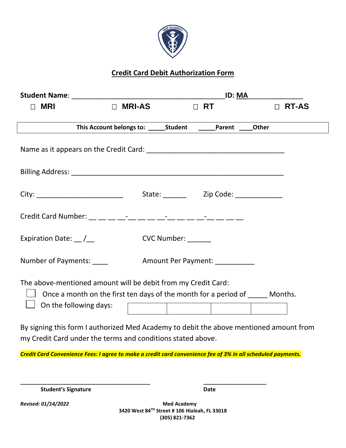

## **Credit Card Debit Authorization Form**

|                                  |                                                                                                                                                                           | ID: MA |                    |                                |        |              |  |  |  |
|----------------------------------|---------------------------------------------------------------------------------------------------------------------------------------------------------------------------|--------|--------------------|--------------------------------|--------|--------------|--|--|--|
| <b>MRI</b><br>П                  | $\Box$ MRI-AS                                                                                                                                                             |        | $\Box$ RT          |                                | $\Box$ | <b>RT-AS</b> |  |  |  |
|                                  | This Account belongs to: ______Student _______Parent _____Other                                                                                                           |        |                    |                                |        |              |  |  |  |
|                                  |                                                                                                                                                                           |        |                    |                                |        |              |  |  |  |
|                                  |                                                                                                                                                                           |        |                    |                                |        |              |  |  |  |
|                                  |                                                                                                                                                                           |        |                    |                                |        |              |  |  |  |
|                                  |                                                                                                                                                                           |        |                    |                                |        |              |  |  |  |
| Expiration Date: $\frac{\ }{\ }$ |                                                                                                                                                                           |        | CVC Number: ______ |                                |        |              |  |  |  |
| Number of Payments: _____        |                                                                                                                                                                           |        |                    | Amount Per Payment: __________ |        |              |  |  |  |
|                                  | The above-mentioned amount will be debit from my Credit Card:<br>Once a month on the first ten days of the month for a period of ______ Months.<br>On the following days: |        |                    |                                |        |              |  |  |  |
|                                  | By signing this form I authorized Med Academy to debit the above mentioned amount from                                                                                    |        |                    |                                |        |              |  |  |  |

my Credit Card under the terms and conditions stated above.

*Credit Card Convenience Fees: I agree to make a credit card convenience fee of 3% in all scheduled payments.*

\_\_\_\_\_\_\_\_\_\_\_\_\_\_\_\_\_\_\_\_\_\_\_\_\_\_\_\_\_\_\_\_\_ \_\_\_\_\_\_\_\_\_\_\_\_\_\_\_\_

**Student's Signature Date** 

*Revised: 01/14/2022* **Med Academy 3420 West 84TH Street # 106 Hialeah, FL 33018 (305) 821-7362**